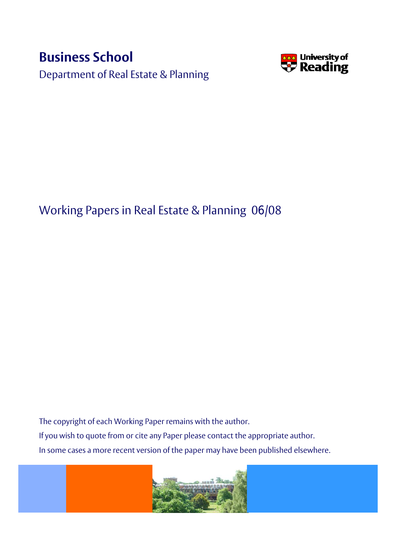# **Business School**

Department of Real Estate & Planning



# Working Papers in Real Estate & Planning 06/08

The copyright of each Working Paper remains with the author. If you wish to quote from or cite any Paper please contact the appropriate author. In some cases a more recent version of the paper may have been published elsewhere.

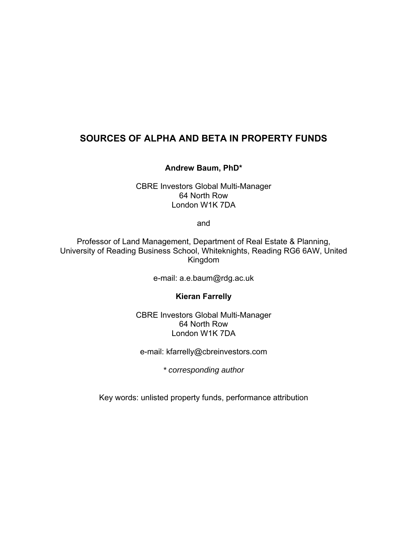# **SOURCES OF ALPHA AND BETA IN PROPERTY FUNDS**

**Andrew Baum, PhD\*** 

CBRE Investors Global Multi-Manager 64 North Row London W1K 7DA

and

Professor of Land Management, Department of Real Estate & Planning, University of Reading Business School, Whiteknights, Reading RG6 6AW, United Kingdom

e-mail: a.e.baum@rdg.ac.uk

## **Kieran Farrelly**

CBRE Investors Global Multi-Manager 64 North Row London W1K 7DA

e-mail: kfarrelly@cbreinvestors.com

*\* corresponding author* 

Key words: unlisted property funds, performance attribution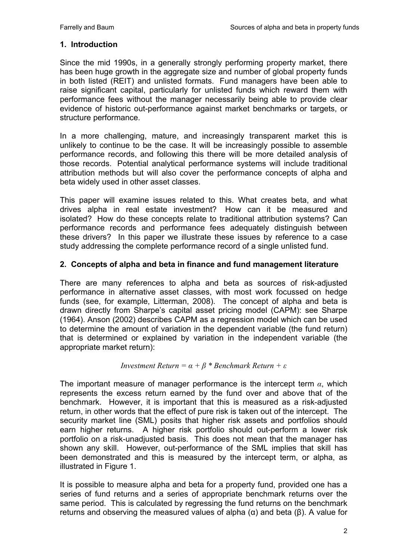# **1. Introduction**

Since the mid 1990s, in a generally strongly performing property market, there has been huge growth in the aggregate size and number of global property funds in both listed (REIT) and unlisted formats. Fund managers have been able to raise significant capital, particularly for unlisted funds which reward them with performance fees without the manager necessarily being able to provide clear evidence of historic out-performance against market benchmarks or targets, or structure performance.

In a more challenging, mature, and increasingly transparent market this is unlikely to continue to be the case. It will be increasingly possible to assemble performance records, and following this there will be more detailed analysis of those records. Potential analytical performance systems will include traditional attribution methods but will also cover the performance concepts of alpha and beta widely used in other asset classes.

This paper will examine issues related to this. What creates beta, and what drives alpha in real estate investment? How can it be measured and isolated? How do these concepts relate to traditional attribution systems? Can performance records and performance fees adequately distinguish between these drivers? In this paper we illustrate these issues by reference to a case study addressing the complete performance record of a single unlisted fund.

# **2. Concepts of alpha and beta in finance and fund management literature**

There are many references to alpha and beta as sources of risk-adjusted performance in alternative asset classes, with most work focussed on hedge funds (see, for example, Litterman, 2008). The concept of alpha and beta is drawn directly from Sharpe's capital asset pricing model (CAPM): see Sharpe (1964). Anson (2002) describes CAPM as a regression model which can be used to determine the amount of variation in the dependent variable (the fund return) that is determined or explained by variation in the independent variable (the appropriate market return):

*Investment Return* = 
$$
\alpha + \beta
$$
 \* *Benchmark Return* +  $\varepsilon$ 

The important measure of manager performance is the intercept term *α*, which represents the excess return earned by the fund over and above that of the benchmark. However, it is important that this is measured as a risk-adjusted return, in other words that the effect of pure risk is taken out of the intercept. The security market line (SML) posits that higher risk assets and portfolios should earn higher returns. A higher risk portfolio should out-perform a lower risk portfolio on a risk-unadjusted basis. This does not mean that the manager has shown any skill. However, out-performance of the SML implies that skill has been demonstrated and this is measured by the intercept term, or alpha, as illustrated in Figure 1.

It is possible to measure alpha and beta for a property fund, provided one has a series of fund returns and a series of appropriate benchmark returns over the same period. This is calculated by regressing the fund returns on the benchmark returns and observing the measured values of alpha (α) and beta (β). A value for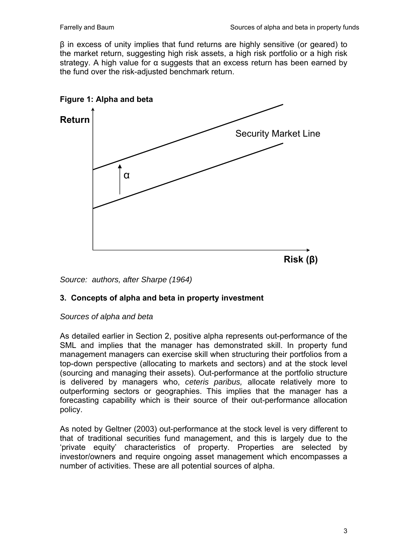β in excess of unity implies that fund returns are highly sensitive (or geared) to the market return, suggesting high risk assets, a high risk portfolio or a high risk strategy. A high value for α suggests that an excess return has been earned by the fund over the risk-adjusted benchmark return.



**Figure 1: Alpha and beta** 

*Source: authors, after Sharpe (1964)* 

# **3. Concepts of alpha and beta in property investment**

## *Sources of alpha and beta*

As detailed earlier in Section 2, positive alpha represents out-performance of the SML and implies that the manager has demonstrated skill. In property fund management managers can exercise skill when structuring their portfolios from a top-down perspective (allocating to markets and sectors) and at the stock level (sourcing and managing their assets). Out-performance at the portfolio structure is delivered by managers who, *ceteris paribus,* allocate relatively more to outperforming sectors or geographies. This implies that the manager has a forecasting capability which is their source of their out-performance allocation policy.

As noted by Geltner (2003) out-performance at the stock level is very different to that of traditional securities fund management, and this is largely due to the 'private equity' characteristics of property. Properties are selected by investor/owners and require ongoing asset management which encompasses a number of activities. These are all potential sources of alpha.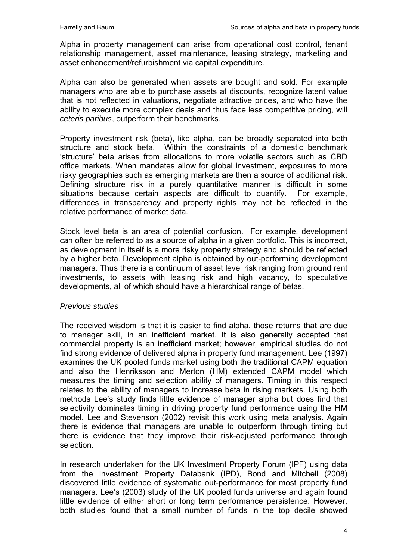Alpha in property management can arise from operational cost control, tenant relationship management, asset maintenance, leasing strategy, marketing and asset enhancement/refurbishment via capital expenditure.

Alpha can also be generated when assets are bought and sold. For example managers who are able to purchase assets at discounts, recognize latent value that is not reflected in valuations, negotiate attractive prices, and who have the ability to execute more complex deals and thus face less competitive pricing, will *ceteris paribus*, outperform their benchmarks.

Property investment risk (beta), like alpha, can be broadly separated into both structure and stock beta. Within the constraints of a domestic benchmark 'structure' beta arises from allocations to more volatile sectors such as CBD office markets. When mandates allow for global investment, exposures to more risky geographies such as emerging markets are then a source of additional risk. Defining structure risk in a purely quantitative manner is difficult in some situations because certain aspects are difficult to quantify. For example, differences in transparency and property rights may not be reflected in the relative performance of market data.

Stock level beta is an area of potential confusion. For example, development can often be referred to as a source of alpha in a given portfolio. This is incorrect, as development in itself is a more risky property strategy and should be reflected by a higher beta. Development alpha is obtained by out-performing development managers. Thus there is a continuum of asset level risk ranging from ground rent investments, to assets with leasing risk and high vacancy, to speculative developments, all of which should have a hierarchical range of betas.

## *Previous studies*

The received wisdom is that it is easier to find alpha, those returns that are due to manager skill, in an inefficient market. It is also generally accepted that commercial property is an inefficient market; however, empirical studies do not find strong evidence of delivered alpha in property fund management. Lee (1997) examines the UK pooled funds market using both the traditional CAPM equation and also the Henriksson and Merton (HM) extended CAPM model which measures the timing and selection ability of managers. Timing in this respect relates to the ability of managers to increase beta in rising markets. Using both methods Lee's study finds little evidence of manager alpha but does find that selectivity dominates timing in driving property fund performance using the HM model. Lee and Stevenson (2002) revisit this work using meta analysis. Again there is evidence that managers are unable to outperform through timing but there is evidence that they improve their risk-adjusted performance through selection.

In research undertaken for the UK Investment Property Forum (IPF) using data from the Investment Property Databank (IPD), Bond and Mitchell (2008) discovered little evidence of systematic out-performance for most property fund managers. Lee's (2003) study of the UK pooled funds universe and again found little evidence of either short or long term performance persistence. However, both studies found that a small number of funds in the top decile showed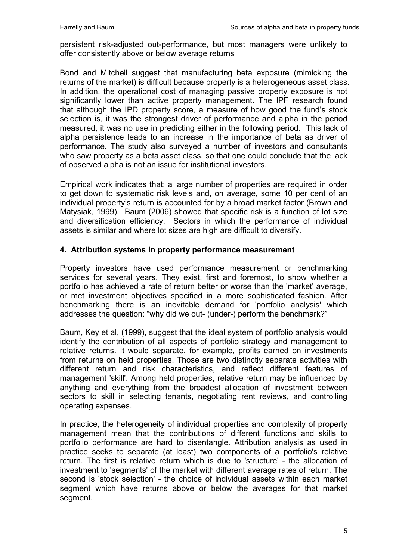persistent risk-adjusted out-performance, but most managers were unlikely to offer consistently above or below average returns

Bond and Mitchell suggest that manufacturing beta exposure (mimicking the returns of the market) is difficult because property is a heterogeneous asset class. In addition, the operational cost of managing passive property exposure is not significantly lower than active property management. The IPF research found that although the IPD property score, a measure of how good the fund's stock selection is, it was the strongest driver of performance and alpha in the period measured, it was no use in predicting either in the following period. This lack of alpha persistence leads to an increase in the importance of beta as driver of performance. The study also surveyed a number of investors and consultants who saw property as a beta asset class, so that one could conclude that the lack of observed alpha is not an issue for institutional investors.

Empirical work indicates that: a large number of properties are required in order to get down to systematic risk levels and, on average, some 10 per cent of an individual property's return is accounted for by a broad market factor (Brown and Matysiak, 1999). Baum (2006) showed that specific risk is a function of lot size and diversification efficiency. Sectors in which the performance of individual assets is similar and where lot sizes are high are difficult to diversify.

## **4. Attribution systems in property performance measurement**

Property investors have used performance measurement or benchmarking services for several years. They exist, first and foremost, to show whether a portfolio has achieved a rate of return better or worse than the 'market' average, or met investment objectives specified in a more sophisticated fashion. After benchmarking there is an inevitable demand for 'portfolio analysis' which addresses the question: "why did we out- (under-) perform the benchmark?"

Baum, Key et al, (1999), suggest that the ideal system of portfolio analysis would identify the contribution of all aspects of portfolio strategy and management to relative returns. It would separate, for example, profits earned on investments from returns on held properties. Those are two distinctly separate activities with different return and risk characteristics, and reflect different features of management 'skill'. Among held properties, relative return may be influenced by anything and everything from the broadest allocation of investment between sectors to skill in selecting tenants, negotiating rent reviews, and controlling operating expenses.

In practice, the heterogeneity of individual properties and complexity of property management mean that the contributions of different functions and skills to portfolio performance are hard to disentangle. Attribution analysis as used in practice seeks to separate (at least) two components of a portfolio's relative return. The first is relative return which is due to 'structure' - the allocation of investment to 'segments' of the market with different average rates of return. The second is 'stock selection' - the choice of individual assets within each market segment which have returns above or below the averages for that market segment.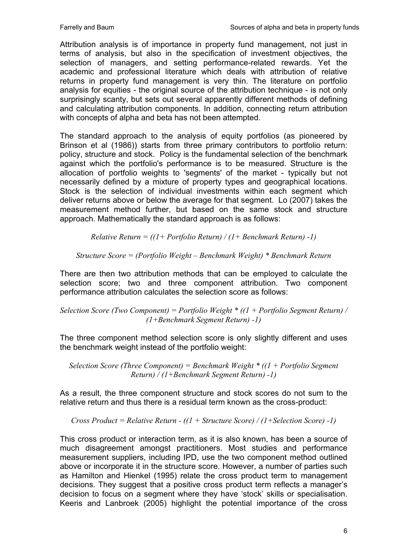Attribution analysis is of importance in property fund management, not just in terms of analysis, but also in the specification of investment objectives, the selection of managers, and setting performance-related rewards. Yet the academic and professional literature which deals with attribution of relative returns in property fund management is very thin. The literature on portfolio analysis for equities - the original source of the attribution technique - is not only surprisingly scanty, but sets out several apparently different methods of defining and calculating attribution components. In addition, connecting return attribution with concepts of alpha and beta has not been attempted.

The standard approach to the analysis of equity portfolios (as pioneered by Brinson et al (1986)) starts from three primary contributors to portfolio return: policy, structure and stock. Policy is the fundamental selection of the benchmark against which the portfolio's performance is to be measured. Structure is the allocation of portfolio weights to 'segments' of the market - typically but not necessarily defined by a mixture of property types and geographical locations. Stock is the selection of individual investments within each segment which deliver returns above or below the average for that segment. Lo (2007) takes the measurement method further, but based on the same stock and structure approach. Mathematically the standard approach is as follows:

*Relative Return = ((1+ Portfolio Return) / (1+ Benchmark Return) -1)* 

*Structure Score = (Portfolio Weight – Benchmark Weight) \* Benchmark Return* 

There are then two attribution methods that can be employed to calculate the selection score; two and three component attribution. Two component performance attribution calculates the selection score as follows:

*Selection Score (Two Component) = Portfolio Weight \* ((1 + Portfolio Segment Return) / (1+Benchmark Segment Return) -1)* 

The three component method selection score is only slightly different and uses the benchmark weight instead of the portfolio weight:

*Selection Score (Three Component) = Benchmark Weight \* ((1 + Portfolio Segment Return) / (1+Benchmark Segment Return) -1)* 

As a result, the three component structure and stock scores do not sum to the relative return and thus there is a residual term known as the cross-product:

*Cross Product = Relative Return - ((1 + Structure Score) / (1+Selection Score) -1)* 

This cross product or interaction term, as it is also known, has been a source of much disagreement amongst practitioners. Most studies and performance measurement suppliers, including IPD, use the two component method outlined above or incorporate it in the structure score. However, a number of parties such as Hamilton and Hienkel (1995) relate the cross product term to management decisions. They suggest that a positive cross product term reflects a manager's decision to focus on a segment where they have 'stock' skills or specialisation. Keeris and Lanbroek (2005) highlight the potential importance of the cross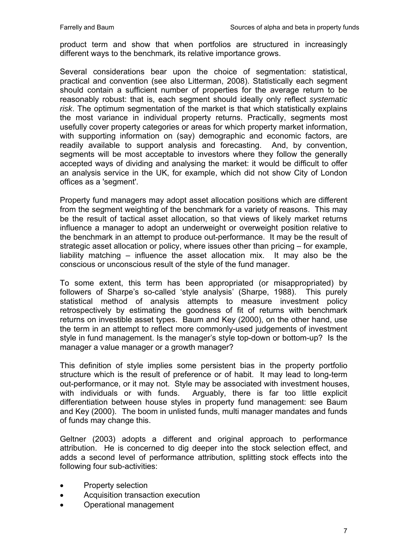product term and show that when portfolios are structured in increasingly different ways to the benchmark, its relative importance grows.

Several considerations bear upon the choice of segmentation: statistical, practical and convention (see also Litterman, 2008). Statistically each segment should contain a sufficient number of properties for the average return to be reasonably robust: that is, each segment should ideally only reflect *systematic risk*. The optimum segmentation of the market is that which statistically explains the most variance in individual property returns. Practically, segments most usefully cover property categories or areas for which property market information, with supporting information on (say) demographic and economic factors, are readily available to support analysis and forecasting. And, by convention, segments will be most acceptable to investors where they follow the generally accepted ways of dividing and analysing the market: it would be difficult to offer an analysis service in the UK, for example, which did not show City of London offices as a 'segment'.

Property fund managers may adopt asset allocation positions which are different from the segment weighting of the benchmark for a variety of reasons. This may be the result of tactical asset allocation, so that views of likely market returns influence a manager to adopt an underweight or overweight position relative to the benchmark in an attempt to produce out-performance. It may be the result of strategic asset allocation or policy, where issues other than pricing – for example, liability matching – influence the asset allocation mix. It may also be the conscious or unconscious result of the style of the fund manager.

To some extent, this term has been appropriated (or misappropriated) by followers of Sharpe's so-called 'style analysis' (Sharpe, 1988). This purely statistical method of analysis attempts to measure investment policy retrospectively by estimating the goodness of fit of returns with benchmark returns on investible asset types. Baum and Key (2000), on the other hand, use the term in an attempt to reflect more commonly-used judgements of investment style in fund management. Is the manager's style top-down or bottom-up? Is the manager a value manager or a growth manager?

This definition of style implies some persistent bias in the property portfolio structure which is the result of preference or of habit. It may lead to long-term out-performance, or it may not. Style may be associated with investment houses, with individuals or with funds. Arguably, there is far too little explicit differentiation between house styles in property fund management: see Baum and Key (2000).The boom in unlisted funds, multi manager mandates and funds of funds may change this.

Geltner (2003) adopts a different and original approach to performance attribution. He is concerned to dig deeper into the stock selection effect, and adds a second level of performance attribution, splitting stock effects into the following four sub-activities:

- Property selection
- Acquisition transaction execution
- Operational management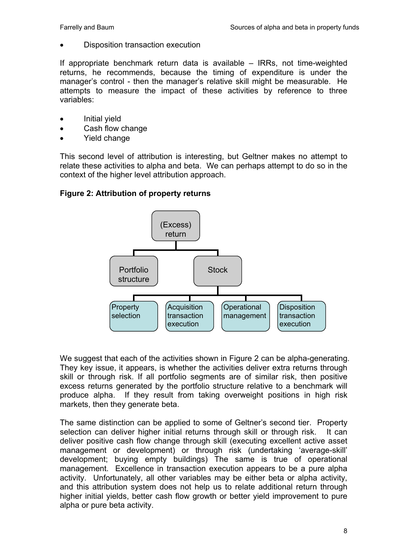• Disposition transaction execution

If appropriate benchmark return data is available – IRRs, not time-weighted returns, he recommends, because the timing of expenditure is under the manager's control - then the manager's relative skill might be measurable. He attempts to measure the impact of these activities by reference to three variables:

- Initial yield
- Cash flow change
- Yield change

This second level of attribution is interesting, but Geltner makes no attempt to relate these activities to alpha and beta. We can perhaps attempt to do so in the context of the higher level attribution approach.

## **Figure 2: Attribution of property returns**



We suggest that each of the activities shown in Figure 2 can be alpha-generating. They key issue, it appears, is whether the activities deliver extra returns through skill or through risk. If all portfolio segments are of similar risk, then positive excess returns generated by the portfolio structure relative to a benchmark will produce alpha. If they result from taking overweight positions in high risk markets, then they generate beta.

The same distinction can be applied to some of Geltner's second tier. Property selection can deliver higher initial returns through skill or through risk. It can deliver positive cash flow change through skill (executing excellent active asset management or development) or through risk (undertaking 'average-skill' development; buying empty buildings) The same is true of operational management. Excellence in transaction execution appears to be a pure alpha activity. Unfortunately, all other variables may be either beta or alpha activity, and this attribution system does not help us to relate additional return through higher initial yields, better cash flow growth or better yield improvement to pure alpha or pure beta activity.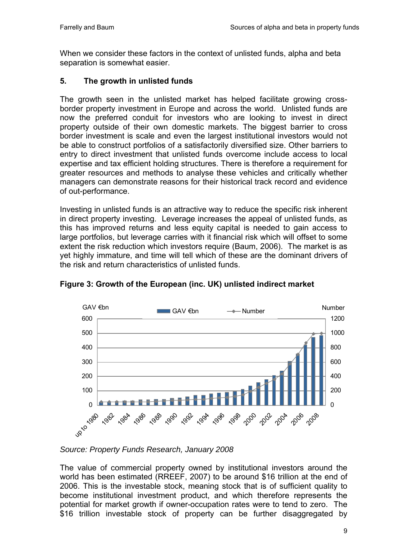When we consider these factors in the context of unlisted funds, alpha and beta separation is somewhat easier.

# **5. The growth in unlisted funds**

The growth seen in the unlisted market has helped facilitate growing crossborder property investment in Europe and across the world. Unlisted funds are now the preferred conduit for investors who are looking to invest in direct property outside of their own domestic markets. The biggest barrier to cross border investment is scale and even the largest institutional investors would not be able to construct portfolios of a satisfactorily diversified size. Other barriers to entry to direct investment that unlisted funds overcome include access to local expertise and tax efficient holding structures. There is therefore a requirement for greater resources and methods to analyse these vehicles and critically whether managers can demonstrate reasons for their historical track record and evidence of out-performance.

Investing in unlisted funds is an attractive way to reduce the specific risk inherent in direct property investing. Leverage increases the appeal of unlisted funds, as this has improved returns and less equity capital is needed to gain access to large portfolios, but leverage carries with it financial risk which will offset to some extent the risk reduction which investors require (Baum, 2006). The market is as yet highly immature, and time will tell which of these are the dominant drivers of the risk and return characteristics of unlisted funds.



**Figure 3: Growth of the European (inc. UK) unlisted indirect market** 

*Source: Property Funds Research, January 2008* 

The value of commercial property owned by institutional investors around the world has been estimated (RREEF, 2007) to be around \$16 trillion at the end of 2006. This is the investable stock, meaning stock that is of sufficient quality to become institutional investment product, and which therefore represents the potential for market growth if owner-occupation rates were to tend to zero. The \$16 trillion investable stock of property can be further disaggregated by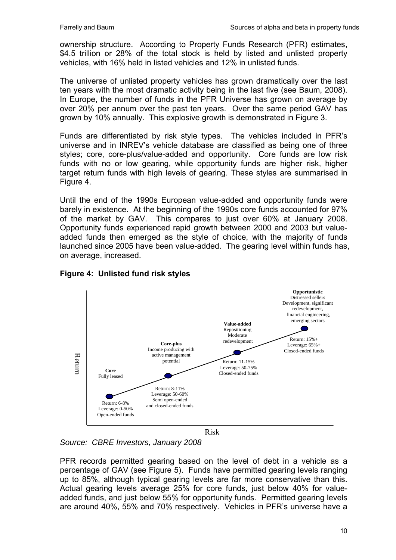ownership structure. According to Property Funds Research (PFR) estimates, \$4.5 trillion or 28% of the total stock is held by listed and unlisted property vehicles, with 16% held in listed vehicles and 12% in unlisted funds.

The universe of unlisted property vehicles has grown dramatically over the last ten years with the most dramatic activity being in the last five (see Baum, 2008). In Europe, the number of funds in the PFR Universe has grown on average by over 20% per annum over the past ten years. Over the same period GAV has grown by 10% annually. This explosive growth is demonstrated in Figure 3.

Funds are differentiated by risk style types. The vehicles included in PFR's universe and in INREV's vehicle database are classified as being one of three styles; core, core-plus/value-added and opportunity. Core funds are low risk funds with no or low gearing, while opportunity funds are higher risk, higher target return funds with high levels of gearing. These styles are summarised in Figure 4.

Until the end of the 1990s European value-added and opportunity funds were barely in existence. At the beginning of the 1990s core funds accounted for 97% of the market by GAV. This compares to just over 60% at January 2008. Opportunity funds experienced rapid growth between 2000 and 2003 but valueadded funds then emerged as the style of choice, with the majority of funds launched since 2005 have been value-added. The gearing level within funds has, on average, increased.



# **Figure 4: Unlisted fund risk styles**

*Source: CBRE Investors, January 2008* 

PFR records permitted gearing based on the level of debt in a vehicle as a percentage of GAV (see Figure 5). Funds have permitted gearing levels ranging up to 85%, although typical gearing levels are far more conservative than this. Actual gearing levels average 25% for core funds, just below 40% for valueadded funds, and just below 55% for opportunity funds. Permitted gearing levels are around 40%, 55% and 70% respectively. Vehicles in PFR's universe have a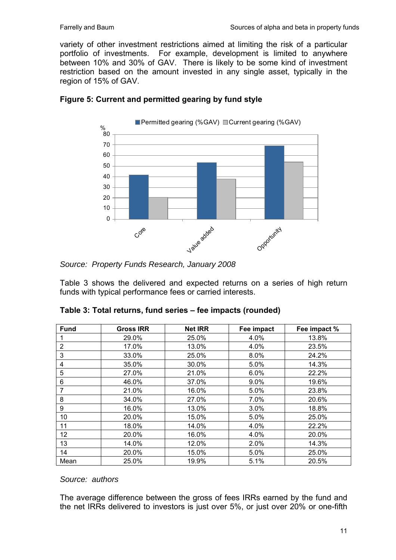variety of other investment restrictions aimed at limiting the risk of a particular portfolio of investments. For example, development is limited to anywhere between 10% and 30% of GAV. There is likely to be some kind of investment restriction based on the amount invested in any single asset, typically in the region of 15% of GAV.



# **Figure 5: Current and permitted gearing by fund style**

Table 3 shows the delivered and expected returns on a series of high return funds with typical performance fees or carried interests.

| <b>Fund</b> | <b>Gross IRR</b> | <b>Net IRR</b> | Fee impact | Fee impact % |
|-------------|------------------|----------------|------------|--------------|
|             | 29.0%            | 25.0%          | 4.0%       | 13.8%        |
| 2           | 17.0%            | 13.0%          | 4.0%       | 23.5%        |
| 3           | 33.0%            | 25.0%          | 8.0%       | 24.2%        |
| 4           | 35.0%            | 30.0%          | 5.0%       | 14.3%        |
| 5           | 27.0%            | 21.0%          | 6.0%       | 22.2%        |
| 6           | 46.0%            | 37.0%          | 9.0%       | 19.6%        |
| 7           | 21.0%            | 16.0%          | 5.0%       | 23.8%        |
| 8           | 34.0%            | 27.0%          | 7.0%       | 20.6%        |
| 9           | 16.0%            | 13.0%          | 3.0%       | 18.8%        |
| 10          | 20.0%            | 15.0%          | 5.0%       | 25.0%        |
| 11          | 18.0%            | 14.0%          | 4.0%       | 22.2%        |
| 12          | 20.0%            | 16.0%          | 4.0%       | 20.0%        |
| 13          | 14.0%            | 12.0%          | 2.0%       | 14.3%        |
| 14          | 20.0%            | 15.0%          | 5.0%       | 25.0%        |
| Mean        | 25.0%            | 19.9%          | 5.1%       | 20.5%        |

|  | Table 3: Total returns, fund series - fee impacts (rounded) |  |  |  |
|--|-------------------------------------------------------------|--|--|--|
|  |                                                             |  |  |  |

## *Source: authors*

The average difference between the gross of fees IRRs earned by the fund and the net IRRs delivered to investors is just over 5%, or just over 20% or one-fifth

*Source: Property Funds Research, January 2008*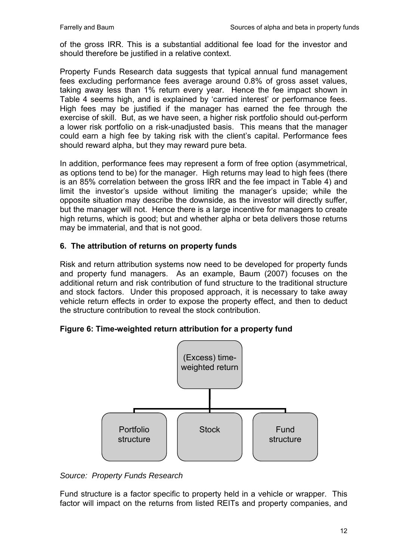of the gross IRR. This is a substantial additional fee load for the investor and should therefore be justified in a relative context.

Property Funds Research data suggests that typical annual fund management fees excluding performance fees average around 0.8% of gross asset values, taking away less than 1% return every year. Hence the fee impact shown in Table 4 seems high, and is explained by 'carried interest' or performance fees. High fees may be justified if the manager has earned the fee through the exercise of skill. But, as we have seen, a higher risk portfolio should out-perform a lower risk portfolio on a risk-unadjusted basis. This means that the manager could earn a high fee by taking risk with the client's capital. Performance fees should reward alpha, but they may reward pure beta.

In addition, performance fees may represent a form of free option (asymmetrical, as options tend to be) for the manager. High returns may lead to high fees (there is an 85% correlation between the gross IRR and the fee impact in Table 4) and limit the investor's upside without limiting the manager's upside; while the opposite situation may describe the downside, as the investor will directly suffer, but the manager will not. Hence there is a large incentive for managers to create high returns, which is good; but and whether alpha or beta delivers those returns may be immaterial, and that is not good.

# **6. The attribution of returns on property funds**

Risk and return attribution systems now need to be developed for property funds and property fund managers. As an example, Baum (2007) focuses on the additional return and risk contribution of fund structure to the traditional structure and stock factors. Under this proposed approach, it is necessary to take away vehicle return effects in order to expose the property effect, and then to deduct the structure contribution to reveal the stock contribution.

# **Figure 6: Time-weighted return attribution for a property fund**



*Source: Property Funds Research* 

Fund structure is a factor specific to property held in a vehicle or wrapper. This factor will impact on the returns from listed REITs and property companies, and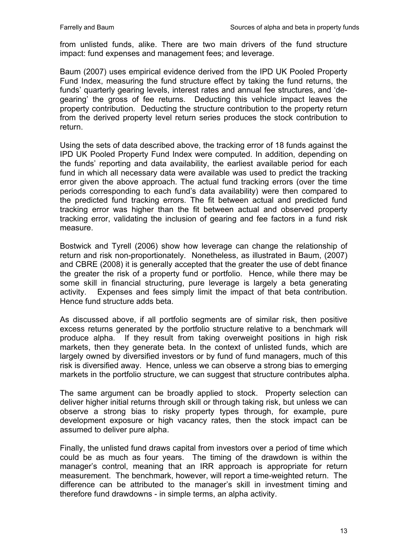from unlisted funds, alike. There are two main drivers of the fund structure impact: fund expenses and management fees; and leverage.

Baum (2007) uses empirical evidence derived from the IPD UK Pooled Property Fund Index, measuring the fund structure effect by taking the fund returns, the funds' quarterly gearing levels, interest rates and annual fee structures, and 'degearing' the gross of fee returns. Deducting this vehicle impact leaves the property contribution. Deducting the structure contribution to the property return from the derived property level return series produces the stock contribution to return.

Using the sets of data described above, the tracking error of 18 funds against the IPD UK Pooled Property Fund Index were computed. In addition, depending on the funds' reporting and data availability, the earliest available period for each fund in which all necessary data were available was used to predict the tracking error given the above approach. The actual fund tracking errors (over the time periods corresponding to each fund's data availability) were then compared to the predicted fund tracking errors. The fit between actual and predicted fund tracking error was higher than the fit between actual and observed property tracking error, validating the inclusion of gearing and fee factors in a fund risk measure.

Bostwick and Tyrell (2006) show how leverage can change the relationship of return and risk non-proportionately. Nonetheless, as illustrated in Baum, (2007) and CBRE (2008) it is generally accepted that the greater the use of debt finance the greater the risk of a property fund or portfolio. Hence, while there may be some skill in financial structuring, pure leverage is largely a beta generating activity. Expenses and fees simply limit the impact of that beta contribution. Hence fund structure adds beta.

As discussed above, if all portfolio segments are of similar risk, then positive excess returns generated by the portfolio structure relative to a benchmark will produce alpha. If they result from taking overweight positions in high risk markets, then they generate beta. In the context of unlisted funds, which are largely owned by diversified investors or by fund of fund managers, much of this risk is diversified away. Hence, unless we can observe a strong bias to emerging markets in the portfolio structure, we can suggest that structure contributes alpha.

The same argument can be broadly applied to stock. Property selection can deliver higher initial returns through skill or through taking risk, but unless we can observe a strong bias to risky property types through, for example, pure development exposure or high vacancy rates, then the stock impact can be assumed to deliver pure alpha.

Finally, the unlisted fund draws capital from investors over a period of time which could be as much as four years. The timing of the drawdown is within the manager's control, meaning that an IRR approach is appropriate for return measurement. The benchmark, however, will report a time-weighted return. The difference can be attributed to the manager's skill in investment timing and therefore fund drawdowns - in simple terms, an alpha activity.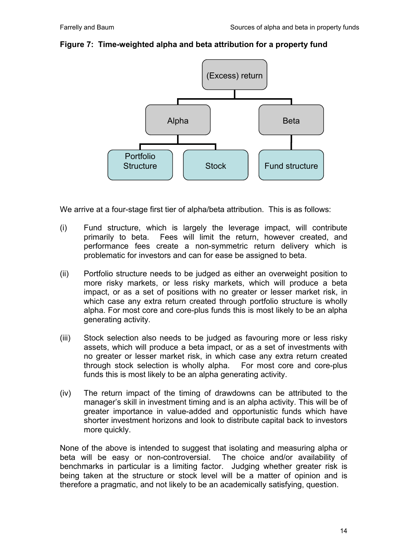

# **Figure 7: Time-weighted alpha and beta attribution for a property fund**

We arrive at a four-stage first tier of alpha/beta attribution. This is as follows:

- (i) Fund structure, which is largely the leverage impact, will contribute primarily to beta. Fees will limit the return, however created, and performance fees create a non-symmetric return delivery which is problematic for investors and can for ease be assigned to beta.
- (ii) Portfolio structure needs to be judged as either an overweight position to more risky markets, or less risky markets, which will produce a beta impact, or as a set of positions with no greater or lesser market risk, in which case any extra return created through portfolio structure is wholly alpha. For most core and core-plus funds this is most likely to be an alpha generating activity.
- (iii) Stock selection also needs to be judged as favouring more or less risky assets, which will produce a beta impact, or as a set of investments with no greater or lesser market risk, in which case any extra return created through stock selection is wholly alpha. For most core and core-plus funds this is most likely to be an alpha generating activity.
- (iv) The return impact of the timing of drawdowns can be attributed to the manager's skill in investment timing and is an alpha activity. This will be of greater importance in value-added and opportunistic funds which have shorter investment horizons and look to distribute capital back to investors more quickly.

None of the above is intended to suggest that isolating and measuring alpha or beta will be easy or non-controversial. The choice and/or availability of benchmarks in particular is a limiting factor. Judging whether greater risk is being taken at the structure or stock level will be a matter of opinion and is therefore a pragmatic, and not likely to be an academically satisfying, question.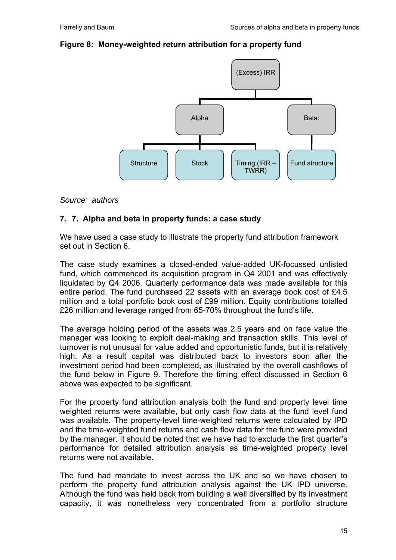

## **Figure 8: Money-weighted return attribution for a property fund**

## *Source: authors*

## **7. 7. Alpha and beta in property funds: a case study**

We have used a case study to illustrate the property fund attribution framework set out in Section 6.

The case study examines a closed-ended value-added UK-focussed unlisted fund, which commenced its acquisition program in Q4 2001 and was effectively liquidated by Q4 2006. Quarterly performance data was made available for this entire period. The fund purchased 22 assets with an average book cost of £4.5 million and a total portfolio book cost of £99 million. Equity contributions totalled £26 million and leverage ranged from 65-70% throughout the fund's life.

The average holding period of the assets was 2.5 years and on face value the manager was looking to exploit deal-making and transaction skills. This level of turnover is not unusual for value added and opportunistic funds, but it is relatively high. As a result capital was distributed back to investors soon after the investment period had been completed, as illustrated by the overall cashflows of the fund below in Figure 9. Therefore the timing effect discussed in Section 6 above was expected to be significant.

For the property fund attribution analysis both the fund and property level time weighted returns were available, but only cash flow data at the fund level fund was available. The property-level time-weighted returns were calculated by IPD and the time-weighted fund returns and cash flow data for the fund were provided by the manager. It should be noted that we have had to exclude the first quarter's performance for detailed attribution analysis as time-weighted property level returns were not available.

The fund had mandate to invest across the UK and so we have chosen to perform the property fund attribution analysis against the UK IPD universe. Although the fund was held back from building a well diversified by its investment capacity, it was nonetheless very concentrated from a portfolio structure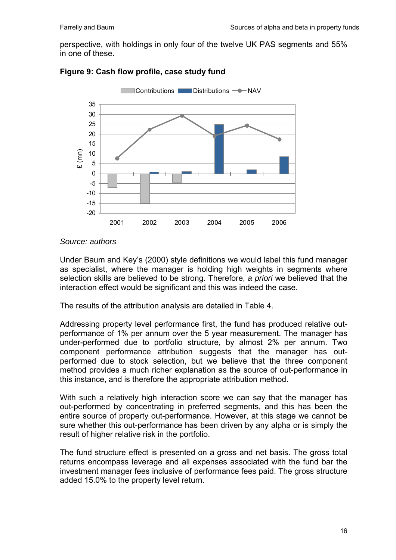perspective, with holdings in only four of the twelve UK PAS segments and 55% in one of these.



## **Figure 9: Cash flow profile, case study fund**

#### *Source: authors*

Under Baum and Key's (2000) style definitions we would label this fund manager as specialist, where the manager is holding high weights in segments where selection skills are believed to be strong. Therefore, *a priori* we believed that the interaction effect would be significant and this was indeed the case.

The results of the attribution analysis are detailed in Table 4.

Addressing property level performance first, the fund has produced relative outperformance of 1% per annum over the 5 year measurement. The manager has under-performed due to portfolio structure, by almost 2% per annum. Two component performance attribution suggests that the manager has outperformed due to stock selection, but we believe that the three component method provides a much richer explanation as the source of out-performance in this instance, and is therefore the appropriate attribution method.

With such a relatively high interaction score we can say that the manager has out-performed by concentrating in preferred segments, and this has been the entire source of property out-performance. However, at this stage we cannot be sure whether this out-performance has been driven by any alpha or is simply the result of higher relative risk in the portfolio.

The fund structure effect is presented on a gross and net basis. The gross total returns encompass leverage and all expenses associated with the fund bar the investment manager fees inclusive of performance fees paid. The gross structure added 15.0% to the property level return.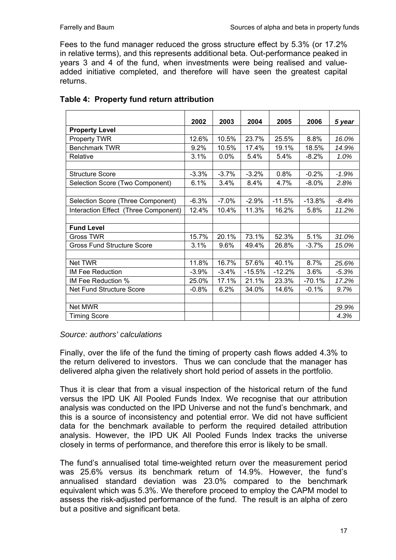Fees to the fund manager reduced the gross structure effect by 5.3% (or 17.2% in relative terms), and this represents additional beta. Out-performance peaked in years 3 and 4 of the fund, when investments were being realised and valueadded initiative completed, and therefore will have seen the greatest capital returns.

|                                      | 2002    | 2003     | 2004     | 2005     | 2006     | 5 year  |
|--------------------------------------|---------|----------|----------|----------|----------|---------|
| <b>Property Level</b>                |         |          |          |          |          |         |
| Property TWR                         | 12.6%   | 10.5%    | 23.7%    | 25.5%    | 8.8%     | 16.0%   |
| <b>Benchmark TWR</b>                 | 9.2%    | 10.5%    | 17.4%    | 19.1%    | 18.5%    | 14.9%   |
| Relative                             | 3.1%    | $0.0\%$  | 5.4%     | 5.4%     | $-8.2\%$ | 1.0%    |
|                                      |         |          |          |          |          |         |
| <b>Structure Score</b>               | $-3.3%$ | $-3.7%$  | $-3.2%$  | 0.8%     | $-0.2%$  | $-1.9%$ |
| Selection Score (Two Component)      | 6.1%    | 3.4%     | 8.4%     | 4.7%     | $-8.0%$  | 2.8%    |
|                                      |         |          |          |          |          |         |
| Selection Score (Three Component)    | $-6.3%$ | $-7.0\%$ | $-2.9%$  | $-11.5%$ | $-13.8%$ | $-8.4%$ |
| Interaction Effect (Three Component) | 12.4%   | 10.4%    | 11.3%    | 16.2%    | 5.8%     | 11.2%   |
|                                      |         |          |          |          |          |         |
| <b>Fund Level</b>                    |         |          |          |          |          |         |
| <b>Gross TWR</b>                     | 15.7%   | 20.1%    | 73.1%    | 52.3%    | 5.1%     | 31.0%   |
| <b>Gross Fund Structure Score</b>    | 3.1%    | $9.6\%$  | 49.4%    | 26.8%    | $-3.7%$  | 15.0%   |
|                                      |         |          |          |          |          |         |
| Net TWR                              | 11.8%   | 16.7%    | 57.6%    | 40.1%    | 8.7%     | 25.6%   |
| <b>IM Fee Reduction</b>              | $-3.9%$ | $-3.4%$  | $-15.5%$ | $-12.2%$ | 3.6%     | $-5.3%$ |
| IM Fee Reduction %                   | 25.0%   | 17.1%    | 21.1%    | 23.3%    | $-70.1%$ | 17.2%   |
| <b>Net Fund Structure Score</b>      | $-0.8%$ | 6.2%     | 34.0%    | 14.6%    | $-0.1%$  | 9.7%    |
|                                      |         |          |          |          |          |         |
| Net MWR                              |         |          |          |          |          | 29.9%   |
| <b>Timing Score</b>                  |         |          |          |          |          | 4.3%    |

## **Table 4: Property fund return attribution**

## *Source: authors' calculations*

Finally, over the life of the fund the timing of property cash flows added 4.3% to the return delivered to investors. Thus we can conclude that the manager has delivered alpha given the relatively short hold period of assets in the portfolio.

Thus it is clear that from a visual inspection of the historical return of the fund versus the IPD UK All Pooled Funds Index. We recognise that our attribution analysis was conducted on the IPD Universe and not the fund's benchmark, and this is a source of inconsistency and potential error. We did not have sufficient data for the benchmark available to perform the required detailed attribution analysis. However, the IPD UK All Pooled Funds Index tracks the universe closely in terms of performance, and therefore this error is likely to be small.

The fund's annualised total time-weighted return over the measurement period was 25.6% versus its benchmark return of 14.9%. However, the fund's annualised standard deviation was 23.0% compared to the benchmark equivalent which was 5.3%. We therefore proceed to employ the CAPM model to assess the risk-adjusted performance of the fund. The result is an alpha of zero but a positive and significant beta.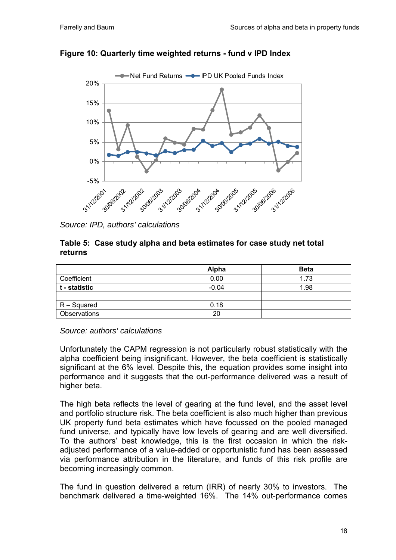



*Source: IPD, authors' calculations* 

## **Table 5: Case study alpha and beta estimates for case study net total returns**

|               | Alpha   | <b>Beta</b> |
|---------------|---------|-------------|
| Coefficient   | 0.00    | 1.73        |
| t - statistic | $-0.04$ | 1.98        |
|               |         |             |
| $R - Squared$ | 0.18    |             |
| Observations  | 20      |             |

*Source: authors' calculations* 

Unfortunately the CAPM regression is not particularly robust statistically with the alpha coefficient being insignificant. However, the beta coefficient is statistically significant at the 6% level. Despite this, the equation provides some insight into performance and it suggests that the out-performance delivered was a result of higher beta.

The high beta reflects the level of gearing at the fund level, and the asset level and portfolio structure risk. The beta coefficient is also much higher than previous UK property fund beta estimates which have focussed on the pooled managed fund universe, and typically have low levels of gearing and are well diversified. To the authors' best knowledge, this is the first occasion in which the riskadjusted performance of a value-added or opportunistic fund has been assessed via performance attribution in the literature, and funds of this risk profile are becoming increasingly common.

The fund in question delivered a return (IRR) of nearly 30% to investors. The benchmark delivered a time-weighted 16%. The 14% out-performance comes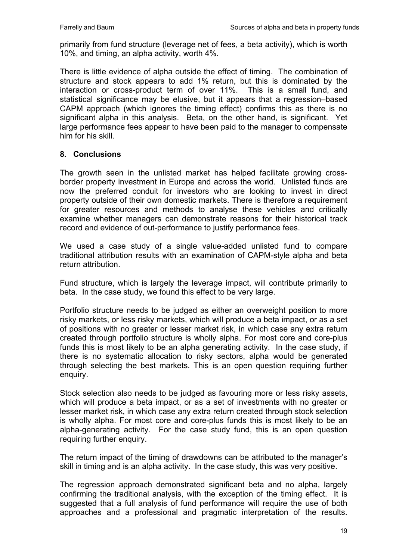primarily from fund structure (leverage net of fees, a beta activity), which is worth 10%, and timing, an alpha activity, worth 4%.

There is little evidence of alpha outside the effect of timing. The combination of structure and stock appears to add 1% return, but this is dominated by the interaction or cross-product term of over 11%. This is a small fund, and statistical significance may be elusive, but it appears that a regression–based CAPM approach (which ignores the timing effect) confirms this as there is no significant alpha in this analysis. Beta, on the other hand, is significant. Yet large performance fees appear to have been paid to the manager to compensate him for his skill.

## **8. Conclusions**

The growth seen in the unlisted market has helped facilitate growing crossborder property investment in Europe and across the world. Unlisted funds are now the preferred conduit for investors who are looking to invest in direct property outside of their own domestic markets. There is therefore a requirement for greater resources and methods to analyse these vehicles and critically examine whether managers can demonstrate reasons for their historical track record and evidence of out-performance to justify performance fees.

We used a case study of a single value-added unlisted fund to compare traditional attribution results with an examination of CAPM-style alpha and beta return attribution.

Fund structure, which is largely the leverage impact, will contribute primarily to beta. In the case study, we found this effect to be very large.

Portfolio structure needs to be judged as either an overweight position to more risky markets, or less risky markets, which will produce a beta impact, or as a set of positions with no greater or lesser market risk, in which case any extra return created through portfolio structure is wholly alpha. For most core and core-plus funds this is most likely to be an alpha generating activity. In the case study, if there is no systematic allocation to risky sectors, alpha would be generated through selecting the best markets. This is an open question requiring further enquiry.

Stock selection also needs to be judged as favouring more or less risky assets, which will produce a beta impact, or as a set of investments with no greater or lesser market risk, in which case any extra return created through stock selection is wholly alpha. For most core and core-plus funds this is most likely to be an alpha-generating activity. For the case study fund, this is an open question requiring further enquiry.

The return impact of the timing of drawdowns can be attributed to the manager's skill in timing and is an alpha activity. In the case study, this was very positive.

The regression approach demonstrated significant beta and no alpha, largely confirming the traditional analysis, with the exception of the timing effect. It is suggested that a full analysis of fund performance will require the use of both approaches and a professional and pragmatic interpretation of the results.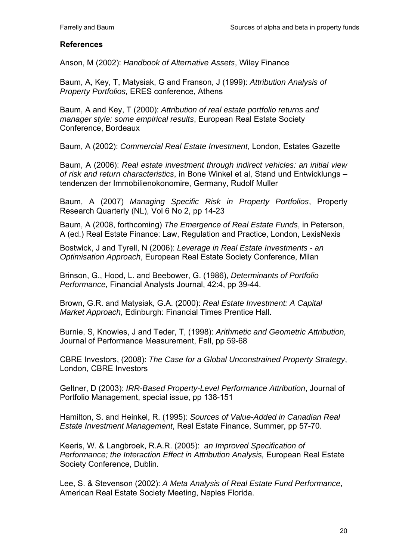#### **References**

Anson, M (2002): *Handbook of Alternative Assets*, Wiley Finance

Baum, A, Key, T, Matysiak, G and Franson, J (1999): *Attribution Analysis of Property Portfolios,* ERES conference, Athens

Baum, A and Key, T (2000): *Attribution of real estate portfolio returns and manager style: some empirical results*, European Real Estate Society Conference, Bordeaux

Baum, A (2002): *Commercial Real Estate Investment*, London, Estates Gazette

Baum, A (2006): *Real estate investment through indirect vehicles: an initial view of risk and return characteristics*, in Bone Winkel et al, Stand und Entwicklungs – tendenzen der Immobilienokonomire, Germany, Rudolf Muller

Baum, A (2007) *Managing Specific Risk in Property Portfolios*, Property Research Quarterly (NL), Vol 6 No 2, pp 14-23

Baum, A (2008, forthcoming) *The Emergence of Real Estate Funds*, in Peterson, A (ed.) Real Estate Finance: Law, Regulation and Practice, London, LexisNexis

Bostwick, J and Tyrell, N (2006): *Leverage in Real Estate Investments - an Optimisation Approach*, European Real Estate Society Conference, Milan

Brinson, G., Hood, L. and Beebower, G. (1986), *Determinants of Portfolio Performance,* Financial Analysts Journal, 42:4, pp 39-44.

Brown, G.R. and Matysiak, G.A. (2000): *Real Estate Investment: A Capital Market Approach*, Edinburgh: Financial Times Prentice Hall.

Burnie, S, Knowles, J and Teder, T, (1998): *Arithmetic and Geometric Attribution,* Journal of Performance Measurement, Fall, pp 59-68

CBRE Investors, (2008): *The Case for a Global Unconstrained Property Strategy*, London, CBRE Investors

Geltner, D (2003): *IRR-Based Property-Level Performance Attribution*, Journal of Portfolio Management, special issue, pp 138-151

Hamilton, S. and Heinkel, R. (1995): *Sources of Value-Added in Canadian Real Estate Investment Management*, Real Estate Finance, Summer, pp 57-70.

Keeris, W. & Langbroek, R.A.R. (2005): *an Improved Specification of Performance; the Interaction Effect in Attribution Analysis,* European Real Estate Society Conference, Dublin.

Lee, S. & Stevenson (2002): *A Meta Analysis of Real Estate Fund Performance*, American Real Estate Society Meeting, Naples Florida.